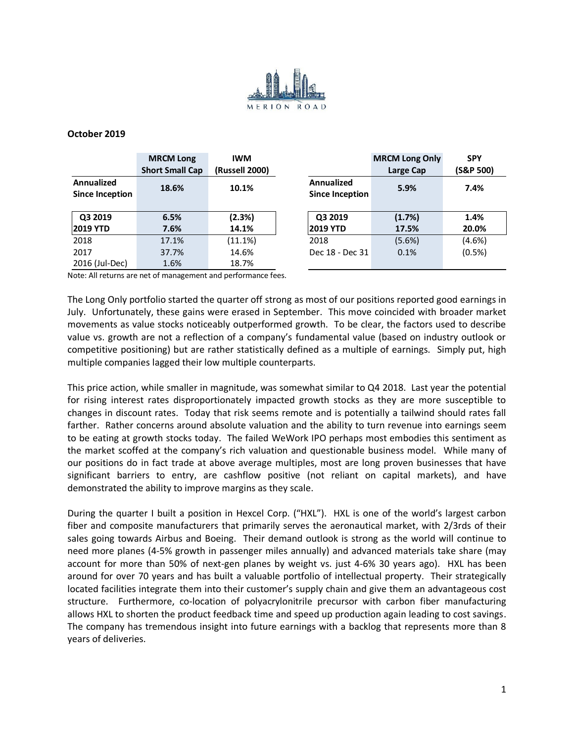

## **October 2019**

|                                      | <b>MRCM Long</b><br><b>Short Small Cap</b> | <b>IWM</b><br>(Russell 2000) |                                             | <b>MRCM Long Only</b><br>Large Cap | <b>SPY</b><br>(S&P 500) |
|--------------------------------------|--------------------------------------------|------------------------------|---------------------------------------------|------------------------------------|-------------------------|
| Annualized<br><b>Since Inception</b> | 18.6%                                      | 10.1%                        | <b>Annualized</b><br><b>Since Inception</b> | 5.9%                               | 7.4%                    |
| Q3 2019<br><b>2019 YTD</b>           | 6.5%<br>7.6%                               | (2.3%)<br>14.1%              | Q3 2019<br><b>2019 YTD</b>                  | (1.7%)<br>17.5%                    | 1.4%<br>20.0%           |
| 2018                                 | 17.1%                                      | (11.1%)                      | 2018                                        | (5.6%)                             | (4.6%)                  |
| 2017                                 | 37.7%                                      | 14.6%                        | Dec 18 - Dec 31                             | 0.1%                               | (0.5%)                  |
| 2016 (Jul-Dec)                       | 1.6%                                       | 18.7%                        |                                             |                                    |                         |

Note: All returns are net of management and performance fees.

The Long Only portfolio started the quarter off strong as most of our positions reported good earnings in July. Unfortunately, these gains were erased in September. This move coincided with broader market movements as value stocks noticeably outperformed growth. To be clear, the factors used to describe value vs. growth are not a reflection of a company's fundamental value (based on industry outlook or competitive positioning) but are rather statistically defined as a multiple of earnings. Simply put, high multiple companies lagged their low multiple counterparts.

This price action, while smaller in magnitude, was somewhat similar to Q4 2018. Last year the potential for rising interest rates disproportionately impacted growth stocks as they are more susceptible to changes in discount rates. Today that risk seems remote and is potentially a tailwind should rates fall farther. Rather concerns around absolute valuation and the ability to turn revenue into earnings seem to be eating at growth stocks today. The failed WeWork IPO perhaps most embodies this sentiment as the market scoffed at the company's rich valuation and questionable business model. While many of our positions do in fact trade at above average multiples, most are long proven businesses that have significant barriers to entry, are cashflow positive (not reliant on capital markets), and have demonstrated the ability to improve margins as they scale.

During the quarter I built a position in Hexcel Corp. ("HXL"). HXL is one of the world's largest carbon fiber and composite manufacturers that primarily serves the aeronautical market, with 2/3rds of their sales going towards Airbus and Boeing. Their demand outlook is strong as the world will continue to need more planes (4-5% growth in passenger miles annually) and advanced materials take share (may account for more than 50% of next-gen planes by weight vs. just 4-6% 30 years ago). HXL has been around for over 70 years and has built a valuable portfolio of intellectual property. Their strategically located facilities integrate them into their customer's supply chain and give them an advantageous cost structure. Furthermore, co-location of polyacrylonitrile precursor with carbon fiber manufacturing allows HXL to shorten the product feedback time and speed up production again leading to cost savings. The company has tremendous insight into future earnings with a backlog that represents more than 8 years of deliveries.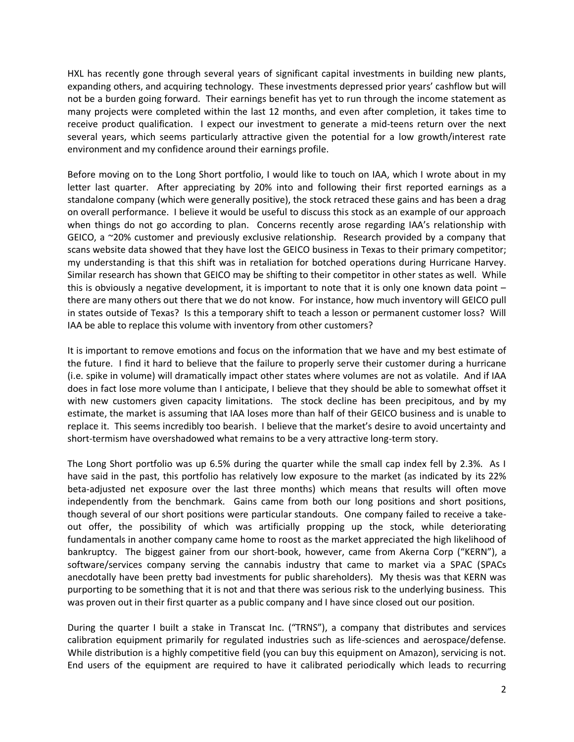HXL has recently gone through several years of significant capital investments in building new plants, expanding others, and acquiring technology. These investments depressed prior years' cashflow but will not be a burden going forward. Their earnings benefit has yet to run through the income statement as many projects were completed within the last 12 months, and even after completion, it takes time to receive product qualification. I expect our investment to generate a mid-teens return over the next several years, which seems particularly attractive given the potential for a low growth/interest rate environment and my confidence around their earnings profile.

Before moving on to the Long Short portfolio, I would like to touch on IAA, which I wrote about in my letter last quarter. After appreciating by 20% into and following their first reported earnings as a standalone company (which were generally positive), the stock retraced these gains and has been a drag on overall performance. I believe it would be useful to discuss this stock as an example of our approach when things do not go according to plan. Concerns recently arose regarding IAA's relationship with GEICO, a ~20% customer and previously exclusive relationship. Research provided by a company that scans website data showed that they have lost the GEICO business in Texas to their primary competitor; my understanding is that this shift was in retaliation for botched operations during Hurricane Harvey. Similar research has shown that GEICO may be shifting to their competitor in other states as well. While this is obviously a negative development, it is important to note that it is only one known data point – there are many others out there that we do not know. For instance, how much inventory will GEICO pull in states outside of Texas? Is this a temporary shift to teach a lesson or permanent customer loss? Will IAA be able to replace this volume with inventory from other customers?

It is important to remove emotions and focus on the information that we have and my best estimate of the future. I find it hard to believe that the failure to properly serve their customer during a hurricane (i.e. spike in volume) will dramatically impact other states where volumes are not as volatile. And if IAA does in fact lose more volume than I anticipate, I believe that they should be able to somewhat offset it with new customers given capacity limitations. The stock decline has been precipitous, and by my estimate, the market is assuming that IAA loses more than half of their GEICO business and is unable to replace it. This seems incredibly too bearish. I believe that the market's desire to avoid uncertainty and short-termism have overshadowed what remains to be a very attractive long-term story.

The Long Short portfolio was up 6.5% during the quarter while the small cap index fell by 2.3%. As I have said in the past, this portfolio has relatively low exposure to the market (as indicated by its 22% beta-adjusted net exposure over the last three months) which means that results will often move independently from the benchmark. Gains came from both our long positions and short positions, though several of our short positions were particular standouts. One company failed to receive a takeout offer, the possibility of which was artificially propping up the stock, while deteriorating fundamentals in another company came home to roost as the market appreciated the high likelihood of bankruptcy. The biggest gainer from our short-book, however, came from Akerna Corp ("KERN"), a software/services company serving the cannabis industry that came to market via a SPAC (SPACs anecdotally have been pretty bad investments for public shareholders). My thesis was that KERN was purporting to be something that it is not and that there was serious risk to the underlying business. This was proven out in their first quarter as a public company and I have since closed out our position.

During the quarter I built a stake in Transcat Inc. ("TRNS"), a company that distributes and services calibration equipment primarily for regulated industries such as life-sciences and aerospace/defense. While distribution is a highly competitive field (you can buy this equipment on Amazon), servicing is not. End users of the equipment are required to have it calibrated periodically which leads to recurring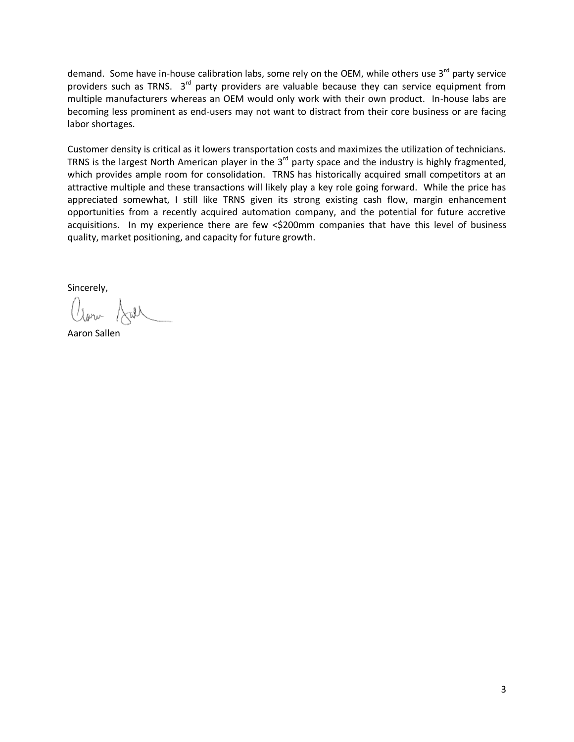demand. Some have in-house calibration labs, some rely on the OEM, while others use 3<sup>rd</sup> party service providers such as TRNS. 3<sup>rd</sup> party providers are valuable because they can service equipment from multiple manufacturers whereas an OEM would only work with their own product. In-house labs are becoming less prominent as end-users may not want to distract from their core business or are facing labor shortages.

Customer density is critical as it lowers transportation costs and maximizes the utilization of technicians. TRNS is the largest North American player in the  $3<sup>rd</sup>$  party space and the industry is highly fragmented, which provides ample room for consolidation. TRNS has historically acquired small competitors at an attractive multiple and these transactions will likely play a key role going forward. While the price has appreciated somewhat, I still like TRNS given its strong existing cash flow, margin enhancement opportunities from a recently acquired automation company, and the potential for future accretive acquisitions. In my experience there are few <\$200mm companies that have this level of business quality, market positioning, and capacity for future growth.

Sincerely,

Aaron Sallen